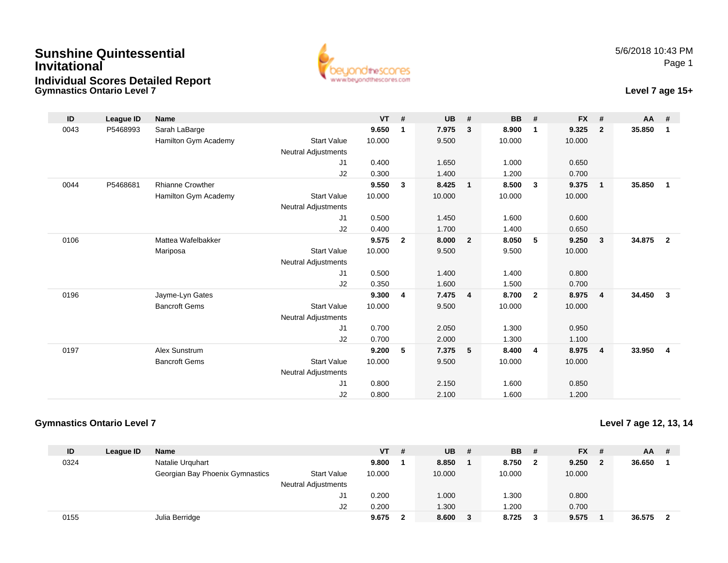## **Gymnastics Ontario Level 7Sunshine QuintessentialInvitationalIndividual Scores Detailed Report**



## **Level 7 age 15+**

| ID   | League ID | <b>Name</b>             |                            | <b>VT</b> | #            | <b>UB</b> | #              | <b>BB</b> | #              | <b>FX</b> | #                       | AA     | #              |
|------|-----------|-------------------------|----------------------------|-----------|--------------|-----------|----------------|-----------|----------------|-----------|-------------------------|--------|----------------|
| 0043 | P5468993  | Sarah LaBarge           |                            | 9.650     | 1            | 7.975     | 3              | 8.900     | 1              | 9.325     | $\overline{2}$          | 35.850 | $\overline{1}$ |
|      |           | Hamilton Gym Academy    | <b>Start Value</b>         | 10.000    |              | 9.500     |                | 10.000    |                | 10.000    |                         |        |                |
|      |           |                         | Neutral Adjustments        |           |              |           |                |           |                |           |                         |        |                |
|      |           |                         | J1                         | 0.400     |              | 1.650     |                | 1.000     |                | 0.650     |                         |        |                |
|      |           |                         | J2                         | 0.300     |              | 1.400     |                | 1.200     |                | 0.700     |                         |        |                |
| 0044 | P5468681  | <b>Rhianne Crowther</b> |                            | 9.550     | 3            | 8.425     | $\mathbf{1}$   | 8.500     | $\mathbf{3}$   | 9.375     | $\overline{\mathbf{1}}$ | 35.850 | $\overline{1}$ |
|      |           | Hamilton Gym Academy    | <b>Start Value</b>         | 10.000    |              | 10.000    |                | 10.000    |                | 10.000    |                         |        |                |
|      |           |                         | <b>Neutral Adjustments</b> |           |              |           |                |           |                |           |                         |        |                |
|      |           |                         | J1                         | 0.500     |              | 1.450     |                | 1.600     |                | 0.600     |                         |        |                |
|      |           |                         | J2                         | 0.400     |              | 1.700     |                | 1.400     |                | 0.650     |                         |        |                |
| 0106 |           | Mattea Wafelbakker      |                            | 9.575     | $\mathbf{2}$ | 8.000     | $\overline{2}$ | 8.050     | 5              | 9.250     | $\overline{\mathbf{3}}$ | 34.875 | $\overline{2}$ |
|      |           | Mariposa                | <b>Start Value</b>         | 10.000    |              | 9.500     |                | 9.500     |                | 10.000    |                         |        |                |
|      |           |                         | <b>Neutral Adjustments</b> |           |              |           |                |           |                |           |                         |        |                |
|      |           |                         | J1                         | 0.500     |              | 1.400     |                | 1.400     |                | 0.800     |                         |        |                |
|      |           |                         | J2                         | 0.350     |              | 1.600     |                | 1.500     |                | 0.700     |                         |        |                |
| 0196 |           | Jayme-Lyn Gates         |                            | 9.300     | 4            | 7.475     | $\overline{4}$ | 8.700     | $\overline{2}$ | 8.975     | $\overline{4}$          | 34.450 | $\mathbf{3}$   |
|      |           | <b>Bancroft Gems</b>    | <b>Start Value</b>         | 10.000    |              | 9.500     |                | 10.000    |                | 10.000    |                         |        |                |
|      |           |                         | <b>Neutral Adjustments</b> |           |              |           |                |           |                |           |                         |        |                |
|      |           |                         | J <sub>1</sub>             | 0.700     |              | 2.050     |                | 1.300     |                | 0.950     |                         |        |                |
|      |           |                         | J2                         | 0.700     |              | 2.000     |                | 1.300     |                | 1.100     |                         |        |                |
| 0197 |           | Alex Sunstrum           |                            | 9.200     | 5            | 7.375     | 5              | 8.400     | 4              | 8.975     | $\overline{4}$          | 33.950 | $\overline{4}$ |
|      |           | <b>Bancroft Gems</b>    | <b>Start Value</b>         | 10.000    |              | 9.500     |                | 10.000    |                | 10.000    |                         |        |                |
|      |           |                         | <b>Neutral Adjustments</b> |           |              |           |                |           |                |           |                         |        |                |
|      |           |                         | J1                         | 0.800     |              | 2.150     |                | 1.600     |                | 0.850     |                         |        |                |
|      |           |                         | J2                         | 0.800     |              | 2.100     |                | 1.600     |                | 1.200     |                         |        |                |

## **Gymnastics Ontario Level 7**

**Level 7 age 12, 13, 14**

| ID   | League ID | <b>Name</b>                     |                            | <b>VT</b> | # | <b>UB</b> | -# | <b>BB</b> | - # | <b>FX</b> | - # | <b>AA</b> | # |
|------|-----------|---------------------------------|----------------------------|-----------|---|-----------|----|-----------|-----|-----------|-----|-----------|---|
| 0324 |           | Natalie Urguhart                |                            | 9.800     |   | 8.850     |    | 8.750     |     | 9.250     | - 2 | 36.650    |   |
|      |           | Georgian Bay Phoenix Gymnastics | <b>Start Value</b>         | 10.000    |   | 10.000    |    | 10.000    |     | 10.000    |     |           |   |
|      |           |                                 | <b>Neutral Adjustments</b> |           |   |           |    |           |     |           |     |           |   |
|      |           |                                 |                            | 0.200     |   | 1.000     |    | .300      |     | 0.800     |     |           |   |
|      |           |                                 | J2                         | 0.200     |   | 1.300     |    | .200      |     | 0.700     |     |           |   |
| 0155 |           | Julia Berridge                  |                            | 9.675     |   | 8.600     |    | 8.725     |     | 9.575     |     | 36.575    |   |